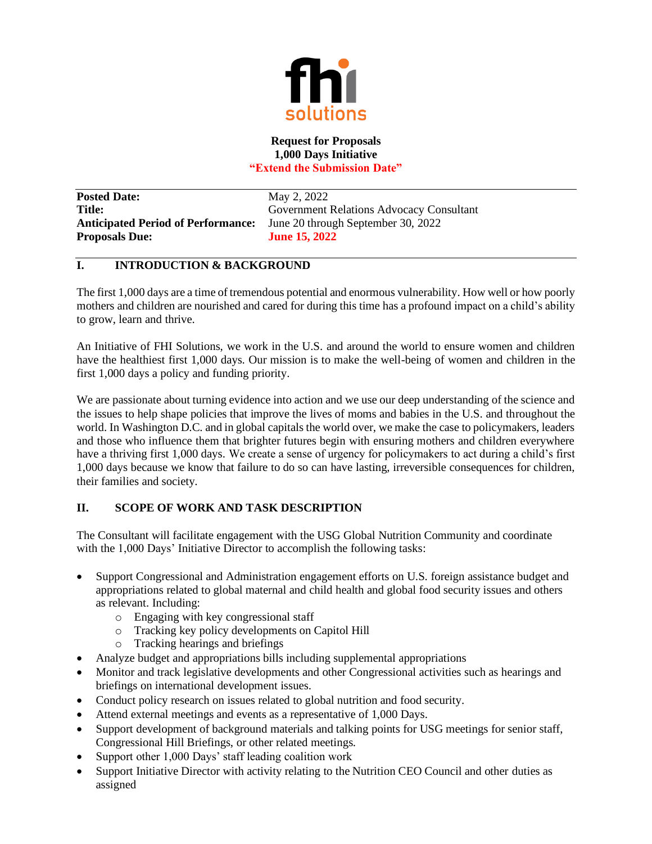

## **Request for Proposals 1,000 Days Initiative "Extend the Submission Date"**

**Posted Date:** May 2, 2022 **Anticipated Period of Performance:** June 20 through September 30, 2022 **Proposals Due: June 15, 2022**

**Title:** Government Relations Advocacy Consultant

# **I. INTRODUCTION & BACKGROUND**

The first 1,000 days are a time of tremendous potential and enormous vulnerability. How well or how poorly mothers and children are nourished and cared for during this time has a profound impact on a child's ability to grow, learn and thrive.

An Initiative of FHI Solutions, we work in the U.S. and around the world to ensure women and children have the healthiest first 1,000 days. Our mission is to make the well-being of women and children in the first 1,000 days a policy and funding priority.

We are passionate about turning evidence into action and we use our deep understanding of the science and the issues to help shape policies that improve the lives of moms and babies in the U.S. and throughout the world. In Washington D.C. and in global capitals the world over, we make the case to policymakers, leaders and those who influence them that brighter futures begin with ensuring mothers and children everywhere have a thriving first 1,000 days. We create a sense of urgency for policymakers to act during a child's first 1,000 days because we know that failure to do so can have lasting, irreversible consequences for children, their families and society.

# **II. SCOPE OF WORK AND TASK DESCRIPTION**

The Consultant will facilitate engagement with the USG Global Nutrition Community and coordinate with the 1,000 Days' Initiative Director to accomplish the following tasks:

- Support Congressional and Administration engagement efforts on U.S. foreign assistance budget and appropriations related to global maternal and child health and global food security issues and others as relevant. Including:
	- o Engaging with key congressional staff
	- o Tracking key policy developments on Capitol Hill
	- o Tracking hearings and briefings
- Analyze budget and appropriations bills including supplemental appropriations
- Monitor and track legislative developments and other Congressional activities such as hearings and briefings on international development issues.
- Conduct policy research on issues related to global nutrition and food security.
- Attend external meetings and events as a representative of 1,000 Days.
- Support development of background materials and talking points for USG meetings for senior staff, Congressional Hill Briefings, or other related meetings.
- Support other 1,000 Days' staff leading coalition work
- Support Initiative Director with activity relating to the Nutrition CEO Council and other duties as assigned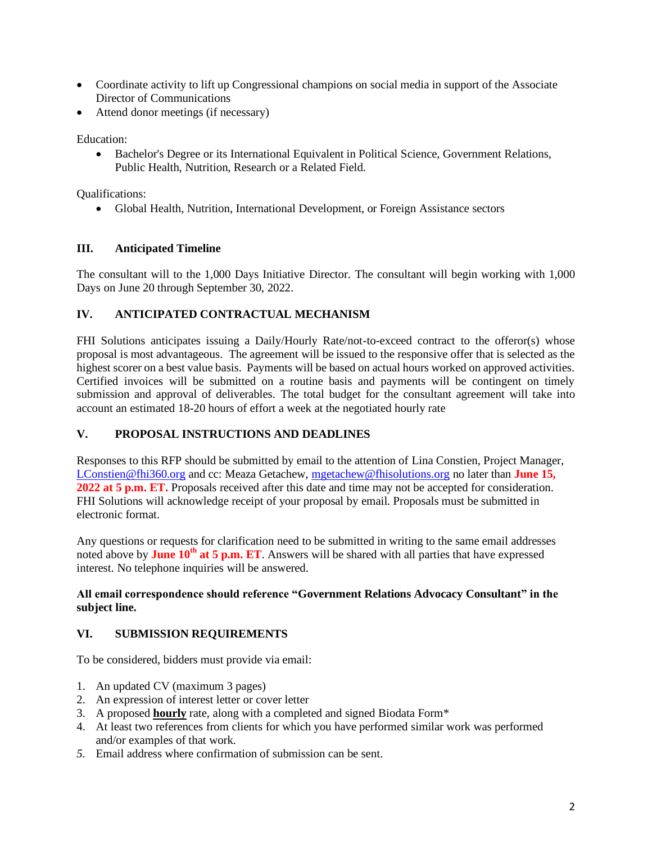- Coordinate activity to lift up Congressional champions on social media in support of the Associate Director of Communications
- Attend donor meetings (if necessary)

Education:

• Bachelor's Degree or its International Equivalent in Political Science, Government Relations, Public Health, Nutrition, Research or a Related Field.

Qualifications:

• Global Health, Nutrition, International Development, or Foreign Assistance sectors

## **III. Anticipated Timeline**

The consultant will to the 1,000 Days Initiative Director. The consultant will begin working with 1,000 Days on June 20 through September 30, 2022.

## **IV. ANTICIPATED CONTRACTUAL MECHANISM**

FHI Solutions anticipates issuing a Daily/Hourly Rate/not-to-exceed contract to the offeror(s) whose proposal is most advantageous. The agreement will be issued to the responsive offer that is selected as the highest scorer on a best value basis. Payments will be based on actual hours worked on approved activities. Certified invoices will be submitted on a routine basis and payments will be contingent on timely submission and approval of deliverables. The total budget for the consultant agreement will take into account an estimated 18-20 hours of effort a week at the negotiated hourly rate

## **V. PROPOSAL INSTRUCTIONS AND DEADLINES**

Responses to this RFP should be submitted by email to the attention of Lina Constien, Project Manager, [LConstien@fhi360.org](mailto:LConstien@fhi360.org) and cc: Meaza Getachew, [mgetachew@fhisolutions.org](mailto:mgetachew@fhisolutions.org) no later than **June 15, 2022 at 5 p.m. ET.** Proposals received after this date and time may not be accepted for consideration. FHI Solutions will acknowledge receipt of your proposal by email. Proposals must be submitted in electronic format.

Any questions or requests for clarification need to be submitted in writing to the same email addresses noted above by **June 10th at 5 p.m. ET**. Answers will be shared with all parties that have expressed interest. No telephone inquiries will be answered.

## **All email correspondence should reference "Government Relations Advocacy Consultant" in the subject line.**

#### **VI. SUBMISSION REQUIREMENTS**

To be considered, bidders must provide via email:

- 1. An updated CV (maximum 3 pages)
- 2. An expression of interest letter or cover letter
- 3. A proposed **hourly** rate, along with a completed and signed Biodata Form\*
- 4. At least two references from clients for which you have performed similar work was performed and/or examples of that work.
- *5.* Email address where confirmation of submission can be sent.